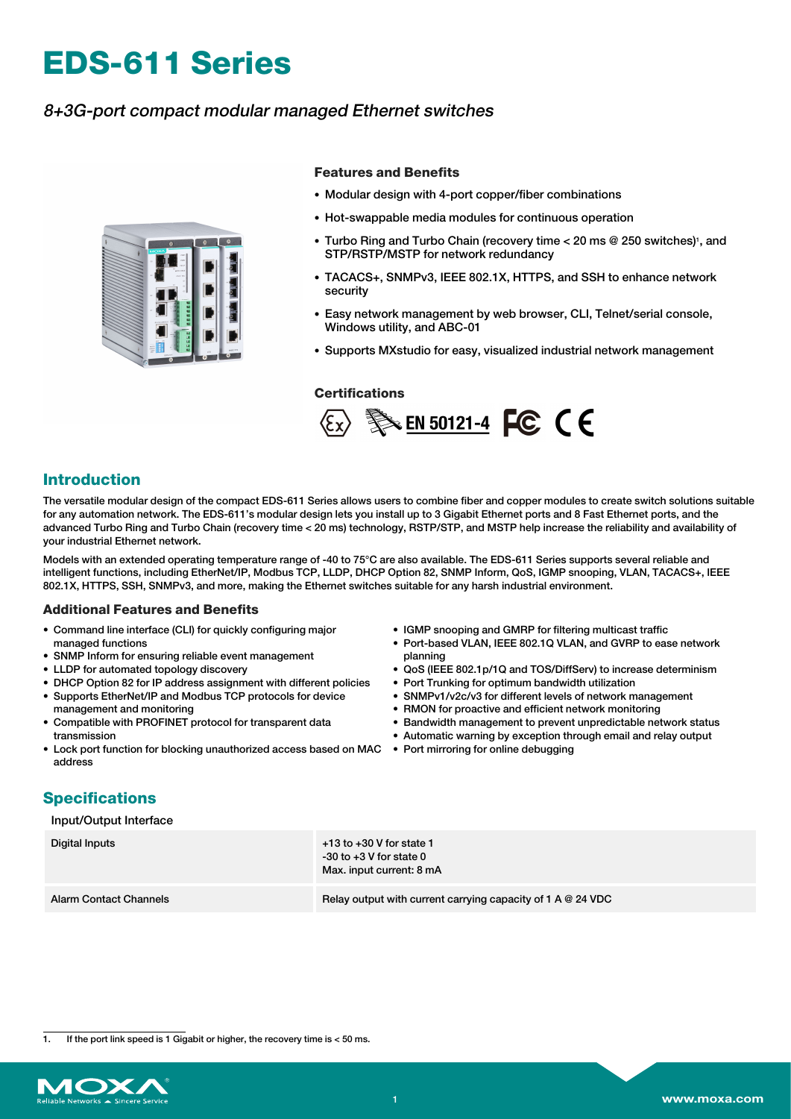# **EDS-611 Series**

## 8+3G-port compact modular managed Ethernet switches



#### **Features and Benefits**

- Modular design with 4-port copper/fiber combinations
- Hot-swappable media modules for continuous operation
- Turbo Ring and Turbo Chain (recovery time < 20 ms @ 250 switches)1, and STP/RSTP/MSTP for network redundancy
- TACACS+, SNMPv3, IEEE 802.1X, HTTPS, and SSH to enhance network security
- Easy network management by web browser, CLI, Telnet/serial console, Windows utility, and ABC-01
- Supports MXstudio for easy, visualized industrial network management

#### **Certifications**



### **Introduction**

The versatile modular design of the compact EDS-611 Series allows users to combine fiber and copper modules to create switch solutions suitable for any automation network. The EDS-611's modular design lets you install up to 3 Gigabit Ethernet ports and 8 Fast Ethernet ports, and the advanced Turbo Ring and Turbo Chain (recovery time < 20 ms) technology, RSTP/STP, and MSTP help increase the reliability and availability of your industrial Ethernet network.

Models with an extended operating temperature range of -40 to 75°C are also available. The EDS-611 Series supports several reliable and intelligent functions, including EtherNet/IP, Modbus TCP, LLDP, DHCP Option 82, SNMP Inform, QoS, IGMP snooping, VLAN, TACACS+, IEEE 802.1X, HTTPS, SSH, SNMPv3, and more, making the Ethernet switches suitable for any harsh industrial environment.

#### **Additional Features and Benefits**

- Command line interface (CLI) for quickly configuring major managed functions
- SNMP Inform for ensuring reliable event management
- LLDP for automated topology discovery
- DHCP Option 82 for IP address assignment with different policies
- Supports EtherNet/IP and Modbus TCP protocols for device management and monitoring
- Compatible with PROFINET protocol for transparent data transmission
- Lock port function for blocking unauthorized access based on MAC Port mirroring for online debugging address
- IGMP snooping and GMRP for filtering multicast traffic
- Port-based VLAN, IEEE 802.1Q VLAN, and GVRP to ease network planning
- QoS (IEEE 802.1p/1Q and TOS/DiffServ) to increase determinism
- Port Trunking for optimum bandwidth utilization
- SNMPv1/v2c/v3 for different levels of network management
- RMON for proactive and efficient network monitoring
- Bandwidth management to prevent unpredictable network status
- Automatic warning by exception through email and relay output
	-

# **Specifications**

#### Input/Output Interface

| Digital Inputs                | $+13$ to $+30$ V for state 1<br>$-30$ to $+3$ V for state 0<br>Max. input current: 8 mA |
|-------------------------------|-----------------------------------------------------------------------------------------|
| <b>Alarm Contact Channels</b> | Relay output with current carrying capacity of 1 A $@$ 24 VDC                           |

1. If the port link speed is 1 Gigabit or higher, the recovery time is < 50 ms.

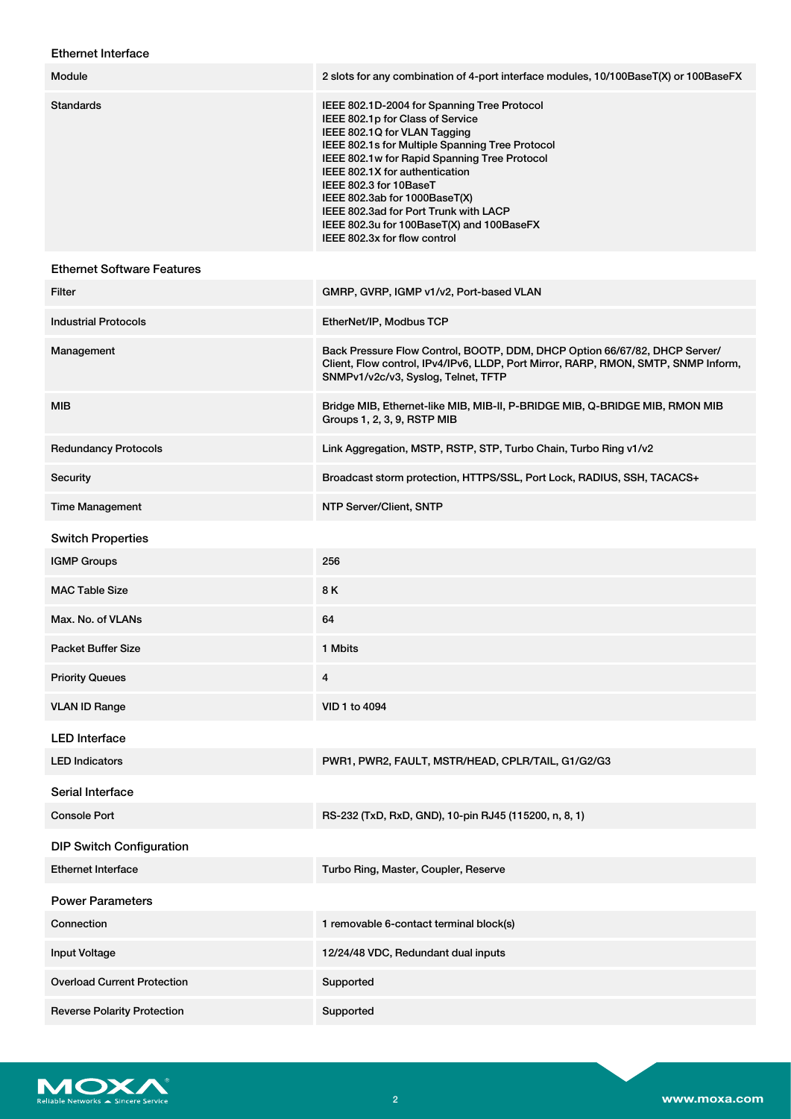## Ethernet Interface

| Module                             | 2 slots for any combination of 4-port interface modules, 10/100BaseT(X) or 100BaseFX                                                                                                                                                                                                                                                                                                                                                  |
|------------------------------------|---------------------------------------------------------------------------------------------------------------------------------------------------------------------------------------------------------------------------------------------------------------------------------------------------------------------------------------------------------------------------------------------------------------------------------------|
| <b>Standards</b>                   | IEEE 802.1D-2004 for Spanning Tree Protocol<br>IEEE 802.1p for Class of Service<br>IEEE 802.1Q for VLAN Tagging<br>IEEE 802.1s for Multiple Spanning Tree Protocol<br>IEEE 802.1w for Rapid Spanning Tree Protocol<br>IEEE 802.1X for authentication<br>IEEE 802.3 for 10BaseT<br>IEEE 802.3ab for 1000BaseT(X)<br>IEEE 802.3ad for Port Trunk with LACP<br>IEEE 802.3u for 100BaseT(X) and 100BaseFX<br>IEEE 802.3x for flow control |
| <b>Ethernet Software Features</b>  |                                                                                                                                                                                                                                                                                                                                                                                                                                       |
| Filter                             | GMRP, GVRP, IGMP v1/v2, Port-based VLAN                                                                                                                                                                                                                                                                                                                                                                                               |
| <b>Industrial Protocols</b>        | EtherNet/IP, Modbus TCP                                                                                                                                                                                                                                                                                                                                                                                                               |
| Management                         | Back Pressure Flow Control, BOOTP, DDM, DHCP Option 66/67/82, DHCP Server/<br>Client, Flow control, IPv4/IPv6, LLDP, Port Mirror, RARP, RMON, SMTP, SNMP Inform,<br>SNMPv1/v2c/v3, Syslog, Telnet, TFTP                                                                                                                                                                                                                               |
| MIB                                | Bridge MIB, Ethernet-like MIB, MIB-II, P-BRIDGE MIB, Q-BRIDGE MIB, RMON MIB<br>Groups 1, 2, 3, 9, RSTP MIB                                                                                                                                                                                                                                                                                                                            |
| <b>Redundancy Protocols</b>        | Link Aggregation, MSTP, RSTP, STP, Turbo Chain, Turbo Ring v1/v2                                                                                                                                                                                                                                                                                                                                                                      |
| Security                           | Broadcast storm protection, HTTPS/SSL, Port Lock, RADIUS, SSH, TACACS+                                                                                                                                                                                                                                                                                                                                                                |
| <b>Time Management</b>             | NTP Server/Client, SNTP                                                                                                                                                                                                                                                                                                                                                                                                               |
| <b>Switch Properties</b>           |                                                                                                                                                                                                                                                                                                                                                                                                                                       |
| <b>IGMP Groups</b>                 | 256                                                                                                                                                                                                                                                                                                                                                                                                                                   |
| <b>MAC Table Size</b>              | 8 K                                                                                                                                                                                                                                                                                                                                                                                                                                   |
| Max. No. of VLANs                  | 64                                                                                                                                                                                                                                                                                                                                                                                                                                    |
| <b>Packet Buffer Size</b>          | 1 Mbits                                                                                                                                                                                                                                                                                                                                                                                                                               |
| <b>Priority Queues</b>             | 4                                                                                                                                                                                                                                                                                                                                                                                                                                     |
| <b>VLAN ID Range</b>               | VID 1 to 4094                                                                                                                                                                                                                                                                                                                                                                                                                         |
| <b>LED</b> Interface               |                                                                                                                                                                                                                                                                                                                                                                                                                                       |
| <b>LED Indicators</b>              | PWR1, PWR2, FAULT, MSTR/HEAD, CPLR/TAIL, G1/G2/G3                                                                                                                                                                                                                                                                                                                                                                                     |
| Serial Interface                   |                                                                                                                                                                                                                                                                                                                                                                                                                                       |
| <b>Console Port</b>                | RS-232 (TxD, RxD, GND), 10-pin RJ45 (115200, n, 8, 1)                                                                                                                                                                                                                                                                                                                                                                                 |
| <b>DIP Switch Configuration</b>    |                                                                                                                                                                                                                                                                                                                                                                                                                                       |
| <b>Ethernet Interface</b>          | Turbo Ring, Master, Coupler, Reserve                                                                                                                                                                                                                                                                                                                                                                                                  |
| <b>Power Parameters</b>            |                                                                                                                                                                                                                                                                                                                                                                                                                                       |
| Connection                         | 1 removable 6-contact terminal block(s)                                                                                                                                                                                                                                                                                                                                                                                               |
| Input Voltage                      | 12/24/48 VDC, Redundant dual inputs                                                                                                                                                                                                                                                                                                                                                                                                   |
| <b>Overload Current Protection</b> | Supported                                                                                                                                                                                                                                                                                                                                                                                                                             |
| <b>Reverse Polarity Protection</b> | Supported                                                                                                                                                                                                                                                                                                                                                                                                                             |

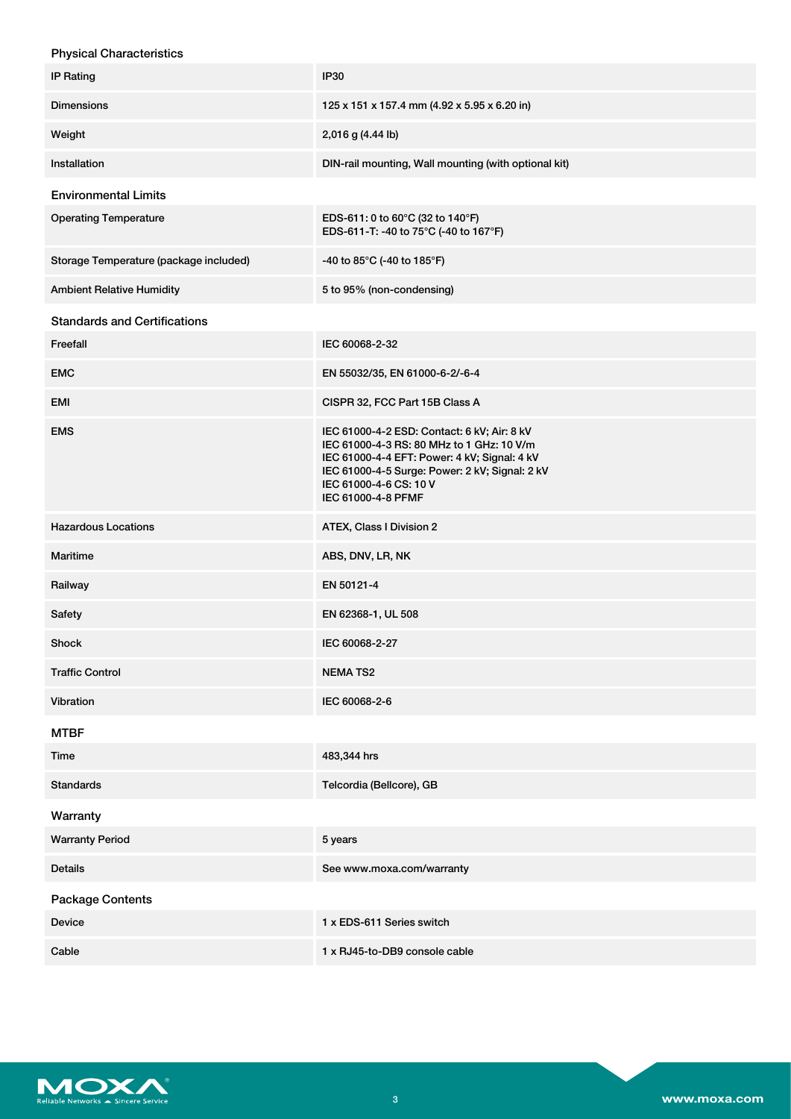| <b>Physical Characteristics</b>        |                                                                                                                                                                                                                                            |
|----------------------------------------|--------------------------------------------------------------------------------------------------------------------------------------------------------------------------------------------------------------------------------------------|
| <b>IP Rating</b>                       | <b>IP30</b>                                                                                                                                                                                                                                |
| <b>Dimensions</b>                      | 125 x 151 x 157.4 mm (4.92 x 5.95 x 6.20 in)                                                                                                                                                                                               |
| Weight                                 | 2,016 g (4.44 lb)                                                                                                                                                                                                                          |
| Installation                           | DIN-rail mounting, Wall mounting (with optional kit)                                                                                                                                                                                       |
| <b>Environmental Limits</b>            |                                                                                                                                                                                                                                            |
| <b>Operating Temperature</b>           | EDS-611: 0 to 60°C (32 to 140°F)<br>EDS-611-T: -40 to 75°C (-40 to 167°F)                                                                                                                                                                  |
| Storage Temperature (package included) | -40 to 85°C (-40 to 185°F)                                                                                                                                                                                                                 |
| <b>Ambient Relative Humidity</b>       | 5 to 95% (non-condensing)                                                                                                                                                                                                                  |
| <b>Standards and Certifications</b>    |                                                                                                                                                                                                                                            |
| Freefall                               | IEC 60068-2-32                                                                                                                                                                                                                             |
| <b>EMC</b>                             | EN 55032/35, EN 61000-6-2/-6-4                                                                                                                                                                                                             |
| <b>EMI</b>                             | CISPR 32, FCC Part 15B Class A                                                                                                                                                                                                             |
| <b>EMS</b>                             | IEC 61000-4-2 ESD: Contact: 6 kV; Air: 8 kV<br>IEC 61000-4-3 RS: 80 MHz to 1 GHz: 10 V/m<br>IEC 61000-4-4 EFT: Power: 4 kV; Signal: 4 kV<br>IEC 61000-4-5 Surge: Power: 2 kV; Signal: 2 kV<br>IEC 61000-4-6 CS: 10 V<br>IEC 61000-4-8 PFMF |
| <b>Hazardous Locations</b>             | ATEX, Class I Division 2                                                                                                                                                                                                                   |
| <b>Maritime</b>                        | ABS, DNV, LR, NK                                                                                                                                                                                                                           |
| Railway                                | EN 50121-4                                                                                                                                                                                                                                 |
| Safety                                 | EN 62368-1, UL 508                                                                                                                                                                                                                         |
| Shock                                  | IEC 60068-2-27                                                                                                                                                                                                                             |
| <b>Traffic Control</b>                 | <b>NEMATS2</b>                                                                                                                                                                                                                             |
| Vibration                              | IEC 60068-2-6                                                                                                                                                                                                                              |
| <b>MTBF</b>                            |                                                                                                                                                                                                                                            |
| Time                                   | 483,344 hrs                                                                                                                                                                                                                                |
| <b>Standards</b>                       | Telcordia (Bellcore), GB                                                                                                                                                                                                                   |
| Warranty                               |                                                                                                                                                                                                                                            |
| <b>Warranty Period</b>                 | 5 years                                                                                                                                                                                                                                    |
| Details                                | See www.moxa.com/warranty                                                                                                                                                                                                                  |
| <b>Package Contents</b>                |                                                                                                                                                                                                                                            |
| Device                                 | 1 x EDS-611 Series switch                                                                                                                                                                                                                  |
| Cable                                  | 1 x RJ45-to-DB9 console cable                                                                                                                                                                                                              |

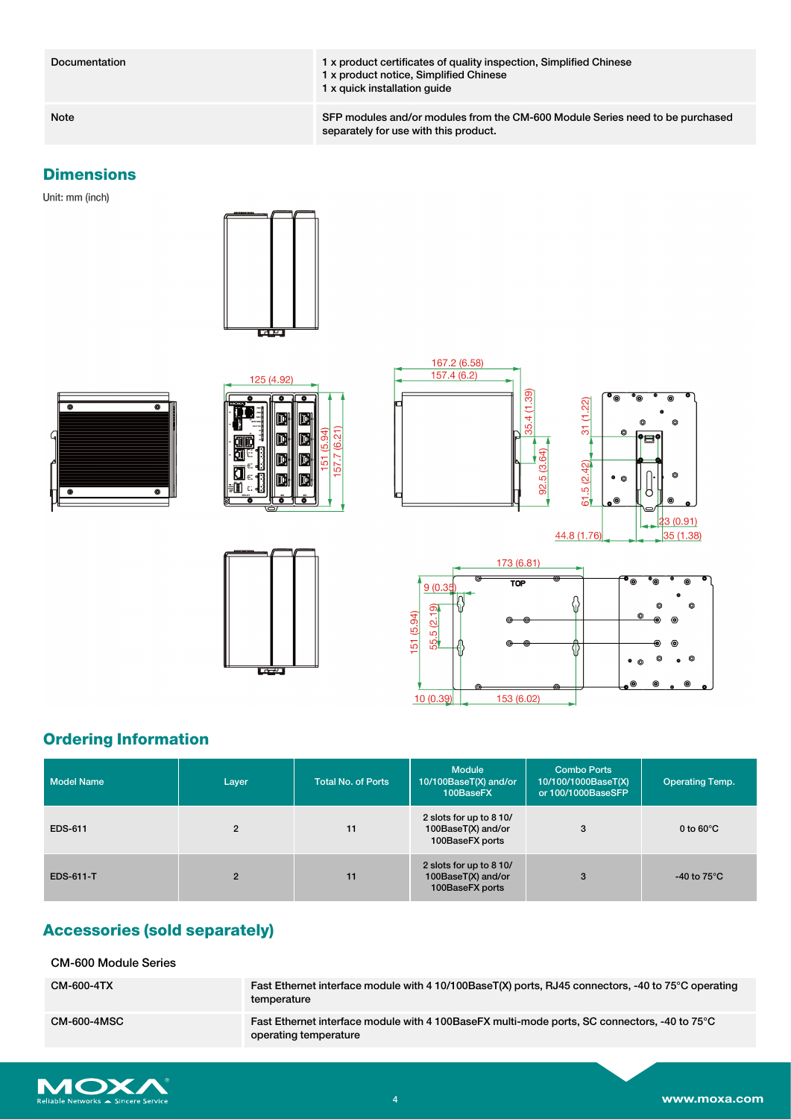Documentation 1 x product certificates of quality inspection, Simplified Chinese 1 x product notice, Simplified Chinese 1 x quick installation guide

Note SFP modules and/or modules from the CM-600 Module Series need to be purchased separately for use with this product.

## **Dimensions**

Unit: mm (inch)















# **Ordering Information**

| <b>Model Name</b> | Layer          | <b>Total No. of Ports</b> | <b>Module</b><br>10/100BaseT(X) and/or<br>100BaseFX              | <b>Combo Ports</b><br>10/100/1000BaseT(X)<br>or 100/1000BaseSFP | <b>Operating Temp.</b> |
|-------------------|----------------|---------------------------|------------------------------------------------------------------|-----------------------------------------------------------------|------------------------|
| <b>EDS-611</b>    | $\overline{2}$ | 11                        | 2 slots for up to 8 10/<br>100BaseT(X) and/or<br>100BaseFX ports | 3                                                               | 0 to $60^{\circ}$ C    |
| <b>EDS-611-T</b>  | $\overline{2}$ | 11                        | 2 slots for up to 8 10/<br>100BaseT(X) and/or<br>100BaseFX ports | 3                                                               | -40 to 75 $^{\circ}$ C |

# **Accessories (sold separately)**

CM-600 Module Series

| CM-600-4TX         | Fast Ethernet interface module with 4 10/100BaseT(X) ports, RJ45 connectors, -40 to 75°C operating<br>temperature     |
|--------------------|-----------------------------------------------------------------------------------------------------------------------|
| <b>CM-600-4MSC</b> | Fast Ethernet interface module with 4 100BaseFX multi-mode ports, SC connectors, -40 to 75°C<br>operating temperature |

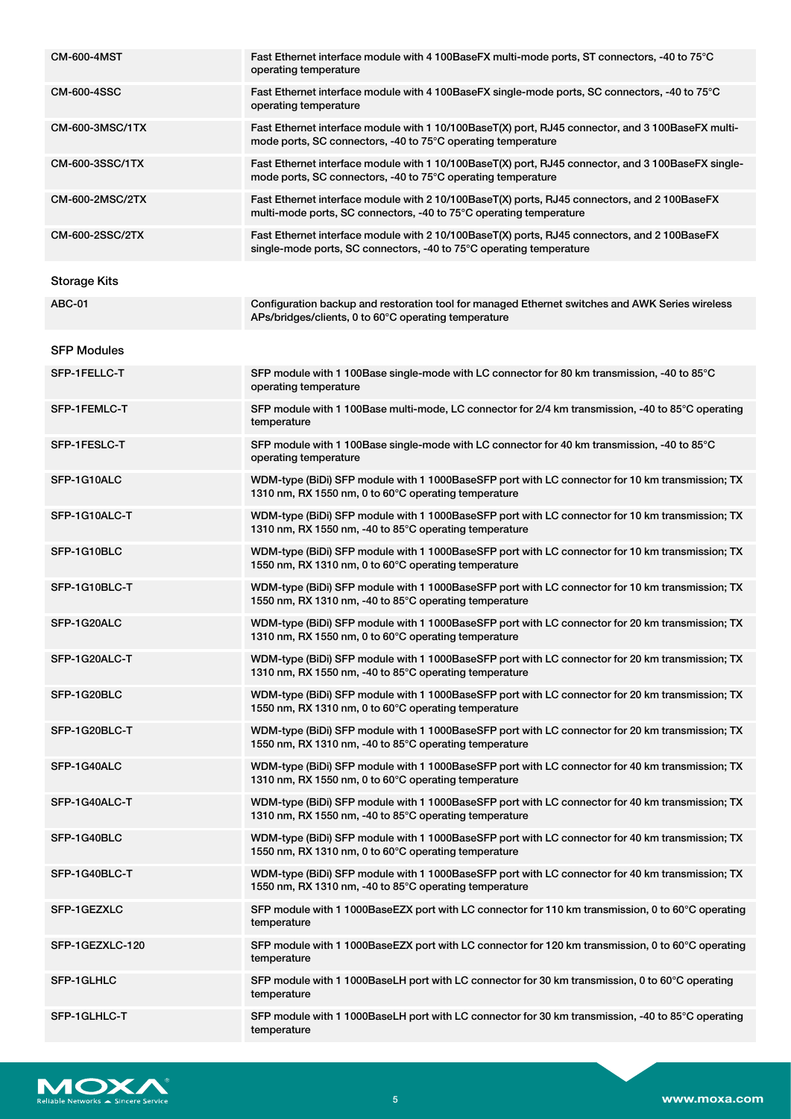| <b>CM-600-4MST</b>  | Fast Ethernet interface module with 4 100BaseFX multi-mode ports, ST connectors, -40 to 75°C<br>operating temperature                                               |
|---------------------|---------------------------------------------------------------------------------------------------------------------------------------------------------------------|
| <b>CM-600-4SSC</b>  | Fast Ethernet interface module with 4 100BaseFX single-mode ports, SC connectors, -40 to 75°C<br>operating temperature                                              |
| CM-600-3MSC/1TX     | Fast Ethernet interface module with 1 10/100BaseT(X) port, RJ45 connector, and 3 100BaseFX multi-<br>mode ports, SC connectors, -40 to 75°C operating temperature   |
| CM-600-3SSC/1TX     | Fast Ethernet interface module with 1 10/100BaseT(X) port, RJ45 connector, and 3 100BaseFX single-<br>mode ports, SC connectors, -40 to 75°C operating temperature  |
| CM-600-2MSC/2TX     | Fast Ethernet interface module with 2 10/100BaseT(X) ports, RJ45 connectors, and 2 100BaseFX<br>multi-mode ports, SC connectors, -40 to 75°C operating temperature  |
| CM-600-2SSC/2TX     | Fast Ethernet interface module with 2 10/100BaseT(X) ports, RJ45 connectors, and 2 100BaseFX<br>single-mode ports, SC connectors, -40 to 75°C operating temperature |
| <b>Storage Kits</b> |                                                                                                                                                                     |
| <b>ABC-01</b>       | Configuration backup and restoration tool for managed Ethernet switches and AWK Series wireless<br>APs/bridges/clients, 0 to 60°C operating temperature             |
| <b>SFP Modules</b>  |                                                                                                                                                                     |
| SFP-1FELLC-T        | SFP module with 1 100Base single-mode with LC connector for 80 km transmission, -40 to 85°C<br>operating temperature                                                |
| SFP-1FEMLC-T        | SFP module with 1 100Base multi-mode, LC connector for 2/4 km transmission, -40 to 85°C operating<br>temperature                                                    |
| SFP-1FESLC-T        | SFP module with 1 100Base single-mode with LC connector for 40 km transmission, -40 to 85°C<br>operating temperature                                                |
| SFP-1G10ALC         | WDM-type (BiDi) SFP module with 1 1000BaseSFP port with LC connector for 10 km transmission; TX<br>1310 nm, RX 1550 nm, 0 to 60°C operating temperature             |
| SFP-1G10ALC-T       | WDM-type (BiDi) SFP module with 1 1000BaseSFP port with LC connector for 10 km transmission; TX<br>1310 nm, RX 1550 nm, -40 to 85°C operating temperature           |
| SFP-1G10BLC         | WDM-type (BiDi) SFP module with 1 1000BaseSFP port with LC connector for 10 km transmission; TX<br>1550 nm, RX 1310 nm, 0 to 60°C operating temperature             |
| SFP-1G10BLC-T       | WDM-type (BiDi) SFP module with 1 1000BaseSFP port with LC connector for 10 km transmission; TX<br>1550 nm, RX 1310 nm, -40 to 85°C operating temperature           |
| SFP-1G20ALC         | WDM-type (BiDi) SFP module with 1 1000BaseSFP port with LC connector for 20 km transmission; TX<br>1310 nm, RX 1550 nm, 0 to 60°C operating temperature             |
| SFP-1G20ALC-T       | WDM-type (BiDi) SFP module with 1 1000BaseSFP port with LC connector for 20 km transmission; TX<br>1310 nm, RX 1550 nm, -40 to 85°C operating temperature           |
| SFP-1G20BLC         | WDM-type (BiDi) SFP module with 1 1000BaseSFP port with LC connector for 20 km transmission; TX<br>1550 nm, RX 1310 nm, 0 to 60°C operating temperature             |
| SFP-1G20BLC-T       | WDM-type (BiDi) SFP module with 1 1000BaseSFP port with LC connector for 20 km transmission; TX<br>1550 nm, RX 1310 nm, -40 to 85°C operating temperature           |
| SFP-1G40ALC         | WDM-type (BiDi) SFP module with 1 1000BaseSFP port with LC connector for 40 km transmission; TX<br>1310 nm, RX 1550 nm, 0 to 60°C operating temperature             |
| SFP-1G40ALC-T       | WDM-type (BiDi) SFP module with 1 1000BaseSFP port with LC connector for 40 km transmission; TX<br>1310 nm, RX 1550 nm, -40 to 85°C operating temperature           |
| SFP-1G40BLC         | WDM-type (BiDi) SFP module with 1 1000BaseSFP port with LC connector for 40 km transmission; TX<br>1550 nm, RX 1310 nm, 0 to 60°C operating temperature             |
| SFP-1G40BLC-T       | WDM-type (BiDi) SFP module with 1 1000BaseSFP port with LC connector for 40 km transmission; TX<br>1550 nm, RX 1310 nm, -40 to 85°C operating temperature           |
| SFP-1GEZXLC         | SFP module with 1 1000BaseEZX port with LC connector for 110 km transmission, 0 to 60°C operating<br>temperature                                                    |
| SFP-1GEZXLC-120     | SFP module with 1 1000BaseEZX port with LC connector for 120 km transmission, 0 to 60 $\degree$ C operating<br>temperature                                          |
| SFP-1GLHLC          | SFP module with 1 1000BaseLH port with LC connector for 30 km transmission, 0 to 60°C operating<br>temperature                                                      |
| SFP-1GLHLC-T        | SFP module with 1 1000BaseLH port with LC connector for 30 km transmission, -40 to 85°C operating<br>temperature                                                    |